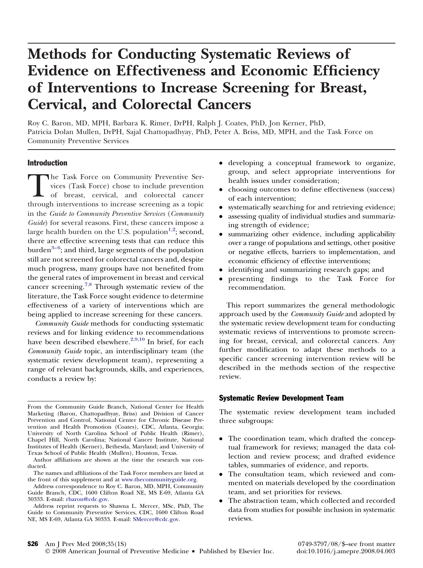# **Methods for Conducting Systematic Reviews of Evidence on Effectiveness and Economic Efficiency of Interventions to Increase Screening for Breast, Cervical, and Colorectal Cancers**

 Roy C. Baron, MD, MPH, Barbara K. Rimer, DrPH, Ralph J. Coates, PhD, Jon Kerner, PhD, Patricia Dolan Mullen, DrPH, Sajal Chattopadhyay, PhD, Peter A. Briss, MD, MPH, and the Task Force on Community Preventive Services

#### Introduction

The Task Force on Community Preventive Services (Task Force) chose to include prevention<br>of breast, cervical, and colorectal cancer<br>through interventions to increase screening as a topic vices (Task Force) chose to include prevention of breast, cervical, and colorectal cancer through interventions to increase screening as a topic *Guide*) for several reasons. First, these cancers impose a large health burden on the U.S. population<sup>1,2</sup>; second, there are effective screening tests that can reduce this burden $^{3-6}$ ; and third, large segments of the population still are not screened for colorectal cancers and, despite much progress, many groups have not benefited from the general rates of improvement in breast and cervical cancer screening.<sup>7,8</sup> Through systematic review of the literature, the Task Force sought evidence to determine effectiveness of a variety of interventions which are being applied to increase screening for these cancers. in the *Guide to Community Preventive Services* (*Community*

 *Community Guide* methods for conducting systematic reviews and for linking evidence to recommendations have been described elsewhere.<sup>2,9,10</sup> In brief, for each *Community Guide* topic, an interdisciplinary team (the systematic review development team), representing a range of relevant backgrounds, skills, and experiences, conducts a review by:

 From the Community Guide Branch, National Center for Health Marketing (Baron, Chattopadhyay, Briss) and Division of Cancer Prevention and Control, National Center for Chronic Disease Pre- vention and Health Promotion (Coates), CDC, Atlanta, Georgia; University of North Carolina School of Public Health (Rimer), Chapel Hill, North Carolina; National Cancer Institute, National Institutes of Health (Kerner), Bethesda, Maryland; and University of Texas School of Public Health (Mullen), Houston, Texas.

Author affiliations are shown at the time the research was conducted.

The names and affiliations of the Task Force members are listed at the front of this supplement and at [www.thecommunityguide.org.](http://www.thecommunityguide.org)

 30333. E-mail: [rbaron@cdc.gov.](mailto:rbaron@cdc.gov) Address correspondence to Roy C. Baron, MD, MPH, Community Guide Branch, CDC, 1600 Clifton Road NE, MS E-69, Atlanta GA

Address reprint requests to Shawna L. Mercer, MSc, PhD, The Guide to Community Preventive Services, CDC, 1600 Clifton Road NE, MS E-69, Atlanta GA 30333. E-mail: [SMercer@cdc.gov.](mailto:SMercer@cdc.gov)

- ● developing a conceptual framework to organize, group, and select appropriate interventions for health issues under consideration;
- ● choosing outcomes to define effectiveness (success) of each intervention;
- ● systematically searching for and retrieving evidence;
- ● assessing quality of individual studies and summariz-ing strength of evidence;
- ● summarizing other evidence, including applicability over a range of populations and settings, other positive or negative effects, barriers to implementation, and economic efficiency of effective interventions;
- ● identifying and summarizing research gaps; and
- ● presenting findings to the Task Force for recommendation.

 This report summarizes the general methodologic approach used by the *Community Guide* and adopted by the systematic review development team for conducting systematic reviews of interventions to promote screen- ing for breast, cervical, and colorectal cancers. Any further modification to adapt these methods to a specific cancer screening intervention review will be described in the methods section of the respective review.

#### Systematic Review Development Team

 The systematic review development team included three subgroups:

- ● The coordination team, which drafted the concep- tual framework for reviews; managed the data col- lection and review process; and drafted evidence tables, summaries of evidence, and reports.
- ● The consultation team, which reviewed and com- mented on materials developed by the coordination team, and set priorities for reviews.
- ● The abstraction team, which collected and recorded data from studies for possible inclusion in systematic reviews.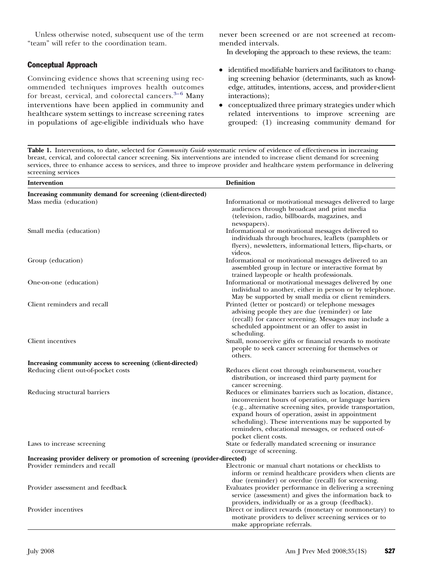<span id="page-1-0"></span>Unless otherwise noted, subsequent use of the term "team" will refer to the coordination team.

#### Conceptual Approach

Convincing evidence shows that screening using recommended techniques improves health outcomes for breast, cervical, and colorectal cancers. $3-6$  Many interventions have been applied in community and healthcare system settings to increase screening rates in populations of age-eligible individuals who have

never been screened or are not screened at recommended intervals.

In developing the approach to these reviews, the team:

- identified modifiable barriers and facilitators to changing screening behavior (determinants, such as knowledge, attitudes, intentions, access, and provider-client interactions);
- ● conceptualized three primary strategies under which related interventions to improve screening are grouped: (1) increasing community demand for

**Table 1.** Interventions, to date, selected for *Community Guide* systematic review of evidence of effectiveness in increasing breast, cervical, and colorectal cancer screening. Six interventions are intended to increase client demand for screening services, three to enhance access to services, and three to improve provider and healthcare system performance in delivering screening services

| Intervention                                                               | <b>Definition</b>                                                                                                                                                                                                                                                                                                                                                             |  |  |
|----------------------------------------------------------------------------|-------------------------------------------------------------------------------------------------------------------------------------------------------------------------------------------------------------------------------------------------------------------------------------------------------------------------------------------------------------------------------|--|--|
| Increasing community demand for screening (client-directed)                |                                                                                                                                                                                                                                                                                                                                                                               |  |  |
| Mass media (education)                                                     | Informational or motivational messages delivered to large<br>audiences through broadcast and print media<br>(television, radio, billboards, magazines, and<br>newspapers).                                                                                                                                                                                                    |  |  |
| Small media (education)                                                    | Informational or motivational messages delivered to<br>individuals through brochures, leaflets (pamphlets or<br>flyers), newsletters, informational letters, flip-charts, or<br>videos.                                                                                                                                                                                       |  |  |
| Group (education)                                                          | Informational or motivational messages delivered to an<br>assembled group in lecture or interactive format by<br>trained laypeople or health professionals.                                                                                                                                                                                                                   |  |  |
| One-on-one (education)                                                     | Informational or motivational messages delivered by one<br>individual to another, either in person or by telephone.<br>May be supported by small media or client reminders.                                                                                                                                                                                                   |  |  |
| Client reminders and recall                                                | Printed (letter or postcard) or telephone messages<br>advising people they are due (reminder) or late<br>(recall) for cancer screening. Messages may include a<br>scheduled appointment or an offer to assist in<br>scheduling.                                                                                                                                               |  |  |
| Client incentives                                                          | Small, noncoercive gifts or financial rewards to motivate<br>people to seek cancer screening for themselves or<br>others.                                                                                                                                                                                                                                                     |  |  |
| Increasing community access to screening (client-directed)                 |                                                                                                                                                                                                                                                                                                                                                                               |  |  |
| Reducing client out-of-pocket costs                                        | Reduces client cost through reimbursement, voucher<br>distribution, or increased third party payment for<br>cancer screening.                                                                                                                                                                                                                                                 |  |  |
| Reducing structural barriers                                               | Reduces or eliminates barriers such as location, distance,<br>inconvenient hours of operation, or language barriers<br>(e.g., alternative screening sites, provide transportation,<br>expand hours of operation, assist in appointment<br>scheduling). These interventions may be supported by<br>reminders, educational messages, or reduced out-of-<br>pocket client costs. |  |  |
| Laws to increase screening                                                 | State or federally mandated screening or insurance<br>coverage of screening.                                                                                                                                                                                                                                                                                                  |  |  |
| Increasing provider delivery or promotion of screening (provider-directed) |                                                                                                                                                                                                                                                                                                                                                                               |  |  |
| Provider reminders and recall                                              | Electronic or manual chart notations or checklists to                                                                                                                                                                                                                                                                                                                         |  |  |
|                                                                            | inform or remind healthcare providers when clients are<br>due (reminder) or overdue (recall) for screening.                                                                                                                                                                                                                                                                   |  |  |
| Provider assessment and feedback                                           | Evaluates provider performance in delivering a screening<br>service (assessment) and gives the information back to<br>providers, individually or as a group (feedback).                                                                                                                                                                                                       |  |  |
| Provider incentives                                                        | Direct or indirect rewards (monetary or nonmonetary) to<br>motivate providers to deliver screening services or to<br>make appropriate referrals.                                                                                                                                                                                                                              |  |  |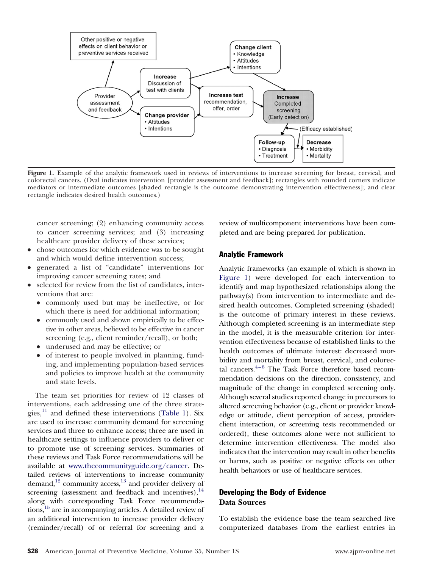

**Figure 1.** Example of the analytic framework used in reviews of interventions to increase screening for breast, cervical, and colorectal cancers. (Oval indicates intervention [provider assessment and feedback]; rectangles with rounded corners indicate mediators or intermediate outcomes [shaded rectangle is the outcome demonstrating intervention effectiveness]; and clear rectangle indicates desired health outcomes.)

cancer screening; (2) enhancing community access to cancer screening services; and (3) increasing healthcare provider delivery of these services;

- chose outcomes for which evidence was to be sought and which would define intervention success;
- generated a list of "candidate" interventions for improving cancer screening rates; and
- selected for review from the list of candidates, interventions that are:
	- commonly used but may be ineffective, or for which there is need for additional information;
	- commonly used and shown empirically to be effective in other areas, believed to be effective in cancer screening (e.g., client reminder/recall), or both;
	- ● underused and may be effective; or
	- of interest to people involved in planning, funding, and implementing population-based services and policies to improve health at the community and state levels.

The team set priorities for review of 12 classes of interventions, each addressing one of the three strategies, $^{11}$  and defined these interventions [\(Table 1\)](#page-1-0). Six are used to increase community demand for screening services and three to enhance access; three are used in healthcare settings to influence providers to deliver or to promote use of screening services. Summaries of these reviews and Task Force recommendations will be available at [www.thecommunityguide.org/cancer.](http://www.thecommunityguide.org/cancer) Detailed reviews of interventions to increase community demand, $^{12}$  community access, $^{13}$  and provider delivery of screening (assessment and feedback and incentives), $^{14}$ along with corresponding Task Force recommendations[,15](#page-7-0) are in accompanying articles. A detailed review of an additional intervention to increase provider delivery (reminder/recall) of or referral for screening and a

review of multicomponent interventions have been completed and are being prepared for publication.

#### Analytic Framework

Analytic frameworks (an example of which is shown in Figure 1) were developed for each intervention to identify and map hypothesized relationships along the pathway(s) from intervention to intermediate and desired health outcomes. Completed screening (shaded) is the outcome of primary interest in these reviews. Although completed screening is an intermediate step in the model, it is the measurable criterion for intervention effectiveness because of established links to the health outcomes of ultimate interest: decreased morbidity and mortality from breast, cervical, and colorectal cancers. $4-6$  The Task Force therefore based recommendation decisions on the direction, consistency, and magnitude of the change in completed screening only. Although several studies reported change in precursors to altered screening behavior (e.g., client or provider knowledge or attitude, client perception of access, providerclient interaction, or screening tests recommended or ordered), these outcomes alone were not sufficient to determine intervention effectiveness. The model also indicates that the intervention may result in other benefits or harms, such as positive or negative effects on other health behaviors or use of healthcare services.

## Developing the Body of Evidence **Data Sources**

To establish the evidence base the team searched five computerized databases from the earliest entries in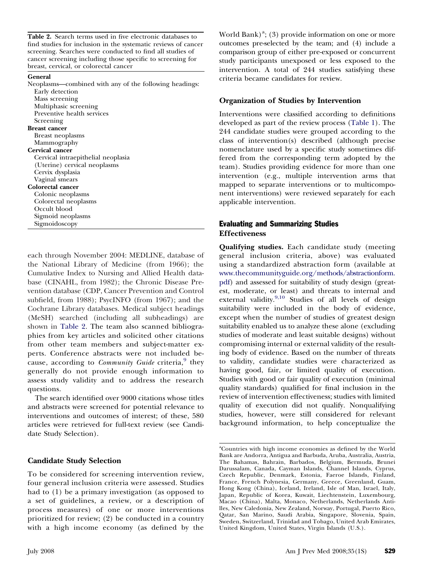<span id="page-3-0"></span>**Table 2.** Search terms used in five electronic databases to find studies for inclusion in the systematic reviews of cancer screening. Searches were conducted to find all studies of cancer screening including those specific to screening for breast, cervical, or colorectal cancer

#### **General**

| Neoplasms—combined with any of the following headings: |  |  |
|--------------------------------------------------------|--|--|
| Early detection                                        |  |  |
|                                                        |  |  |

| Mass screening                     |
|------------------------------------|
| Multiphasic screening              |
| Preventive health services         |
| Screening                          |
| <b>Breast cancer</b>               |
| Breast neoplasms                   |
| Mammography                        |
| Cervical cancer                    |
| Cervical intraepithelial neoplasia |
| (Uterine) cervical neoplasms       |
| Cervix dysplasia                   |
| Vaginal smears                     |
| Colorectal cancer                  |
| Colonic neoplasms                  |
| Colorectal neoplasms               |
| Occult blood                       |
| Sigmoid neoplasms                  |
| Sigmoidoscopy                      |

each through November 2004: MEDLINE, database of the National Library of Medicine (from 1966); the Cumulative Index to Nursing and Allied Health database (CINAHL, from 1982); the Chronic Disease Prevention database (CDP, Cancer Prevention and Control subfield, from 1988); PsycINFO (from 1967); and the Cochrane Library databases. Medical subject headings (MeSH) searched (including all subheadings) are shown in Table 2. The team also scanned bibliographies from key articles and solicited other citations from other team members and subject-matter experts. Conference abstracts were not included because, according to *Community Guide* criteria,<sup>9</sup> they generally do not provide enough information to assess study validity and to address the research questions.

The search identified over 9000 citations whose titles and abstracts were screened for potential relevance to interventions and outcomes of interest; of these, 580 articles were retrieved for full-text review (see Candidate Study Selection).

#### **Candidate Study Selection**

To be considered for screening intervention review, four general inclusion criteria were assessed. Studies had to (1) be a primary investigation (as opposed to a set of guidelines, a review, or a description of process measures) of one or more interventions prioritized for review; (2) be conducted in a country with a high income economy (as defined by the

World Bank)<sup>a</sup>; (3) provide information on one or more outcomes pre-selected by the team; and (4) include a comparison group of either pre-exposed or concurrent study participants unexposed or less exposed to the intervention. A total of 244 studies satisfying these criteria became candidates for review.

#### **Organization of Studies by Intervention**

Interventions were classified according to definitions developed as part of the review process [\(Table 1\)](#page-1-0). The 244 candidate studies were grouped according to the class of intervention(s) described (although precise nomenclature used by a specific study sometimes differed from the corresponding term adopted by the team). Studies providing evidence for more than one intervention (e.g., multiple intervention arms that mapped to separate interventions or to multicomponent interventions) were reviewed separately for each applicable intervention.

## Evaluating and Summarizing Studies **Effectiveness**

**Qualifying studies.** Each candidate study (meeting general inclusion criteria, above) was evaluated using a standardized abstraction form (available at [www.thecommunityguide.org/methods/abstractionform.](http://www.thecommunityguide.org/methods/abstractionform.pdf) [pdf\)](http://www.thecommunityguide.org/methods/abstractionform.pdf) and assessed for suitability of study design (greatest, moderate, or least) and threats to internal and external validity.<sup>9,10</sup> Studies of all levels of design suitability were included in the body of evidence, except when the number of studies of greatest design suitability enabled us to analyze these alone (excluding studies of moderate and least suitable designs) without compromising internal or external validity of the resulting body of evidence. Based on the number of threats to validity, candidate studies were characterized as having good, fair, or limited quality of execution. Studies with good or fair quality of execution (minimal quality standards) qualified for final inclusion in the review of intervention effectiveness; studies with limited quality of execution did not qualify. Nonqualifying studies, however, were still considered for relevant background information, to help conceptualize the

a Countries with high income economies as defined by the World Bank are Andorra, Antigua and Barbuda, Aruba, Australia, Austria, The Bahamas, Bahrain, Barbados, Belgium, Bermuda, Brunei Darussalam, Canada, Cayman Islands, Channel Islands, Cyprus, Czech Republic, Denmark, Estonia, Faeroe Islands, Finland, France, French Polynesia, Germany, Greece, Greenland, Guam, Hong Kong (China), Iceland, Ireland, Isle of Man, Israel, Italy, Japan, Republic of Korea, Kuwait, Liechtenstein, Luxembourg, Macao (China), Malta, Monaco, Netherlands, Netherlands Antilles, New Caledonia, New Zealand, Norway, Portugal, Puerto Rico, Qatar, San Marino, Saudi Arabia, Singapore, Slovenia, Spain, Sweden, Switzerland, Trinidad and Tobago, United Arab Emirates, United Kingdom, United States, Virgin Islands (U.S.).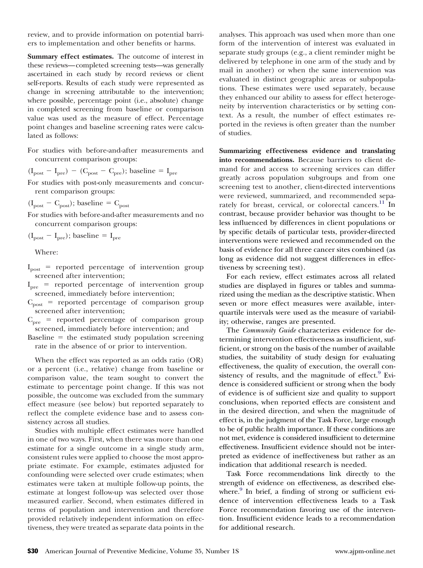review, and to provide information on potential barriers to implementation and other benefits or harms.

**Summary effect estimates.** The outcome of interest in these reviews—completed screening tests—was generally ascertained in each study by record reviews or client self-reports. Results of each study were represented as change in screening attributable to the intervention; where possible, percentage point (i.e., absolute) change in completed screening from baseline or comparison value was used as the measure of effect. Percentage point changes and baseline screening rates were calculated as follows:

For studies with before-and-after measurements and concurrent comparison groups:

 $(I_{\text{post}} - I_{\text{pre}}) - (C_{\text{post}} - C_{\text{pre}})$ ; baseline =  $I_{\text{pre}}$ 

For studies with post-only measurements and concurrent comparison groups:

 $(I_{\text{post}} - C_{\text{post}})$ ; baseline =  $C_{\text{post}}$ 

For studies with before-and-after measurements and no concurrent comparison groups:

 $(I_{\text{post}} - I_{\text{pre}})$ ; baseline =  $I_{\text{pre}}$ 

Where:

 $I_{\text{post}}$  = reported percentage of intervention group screened after intervention;

 $I<sub>pre</sub>$  = reported percentage of intervention group screened, immediately before intervention;

 $C<sub>post</sub>$  = reported percentage of comparison group screened after intervention;

 $C<sub>pre</sub>$  = reported percentage of comparison group screened, immediately before intervention; and

Baseline  $=$  the estimated study population screening rate in the absence of or prior to intervention.

When the effect was reported as an odds ratio (OR) or a percent (i.e., relative) change from baseline or comparison value, the team sought to convert the estimate to percentage point change. If this was not possible, the outcome was excluded from the summary effect measure (see below) but reported separately to reflect the complete evidence base and to assess consistency across all studies.

Studies with multiple effect estimates were handled in one of two ways. First, when there was more than one estimate for a single outcome in a single study arm, consistent rules were applied to choose the most appropriate estimate. For example, estimates adjusted for confounding were selected over crude estimates; when estimates were taken at multiple follow-up points, the estimate at longest follow-up was selected over those measured earlier. Second, when estimates differed in terms of population and intervention and therefore provided relatively independent information on effectiveness, they were treated as separate data points in the analyses. This approach was used when more than one form of the intervention of interest was evaluated in separate study groups (e.g., a client reminder might be delivered by telephone in one arm of the study and by mail in another) or when the same intervention was evaluated in distinct geographic areas or subpopulations. These estimates were used separately, because they enhanced our ability to assess for effect heterogeneity by intervention characteristics or by setting context. As a result, the number of effect estimates reported in the reviews is often greater than the number of studies.

**Summarizing effectiveness evidence and translating into recommendations.** Because barriers to client demand for and access to screening services can differ greatly across population subgroups and from one screening test to another, client-directed interventions were reviewed, summarized, and recommended separately for breast, cervical, or colorectal cancers.<sup>11</sup> In contrast, because provider behavior was thought to be less influenced by differences in client populations or by specific details of particular tests, provider-directed interventions were reviewed and recommended on the basis of evidence for all three cancer sites combined (as long as evidence did not suggest differences in effectiveness by screening test).

For each review, effect estimates across all related studies are displayed in figures or tables and summarized using the median as the descriptive statistic. When seven or more effect measures were available, interquartile intervals were used as the measure of variability; otherwise, ranges are presented.

The *Community Guide* characterizes evidence for determining intervention effectiveness as insufficient, sufficient, or strong on the basis of the number of available studies, the suitability of study design for evaluating effectiveness, the quality of execution, the overall consistency of results, and the magnitude of effect. $9$  Evidence is considered sufficient or strong when the body of evidence is of sufficient size and quality to support conclusions, when reported effects are consistent and in the desired direction, and when the magnitude of effect is, in the judgment of the Task Force, large enough to be of public health importance. If these conditions are not met, evidence is considered insufficient to determine effectiveness. Insufficient evidence should not be interpreted as evidence of ineffectiveness but rather as an indication that additional research is needed.

Task Force recommendations link directly to the strength of evidence on effectiveness, as described elsewhere.<sup>9</sup> In brief, a finding of strong or sufficient evidence of intervention effectiveness leads to a Task Force recommendation favoring use of the intervention. Insufficient evidence leads to a recommendation for additional research.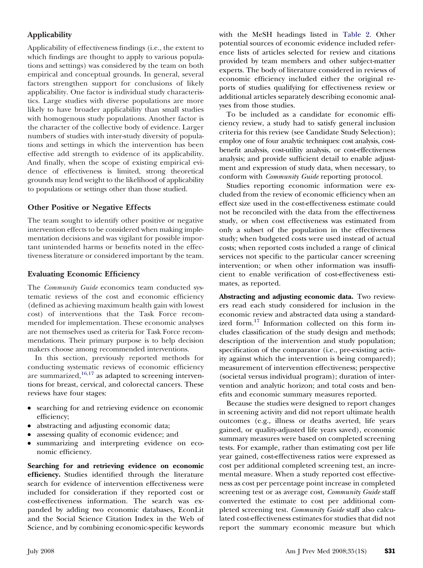## **Applicability**

Applicability of effectiveness findings (i.e., the extent to which findings are thought to apply to various populations and settings) was considered by the team on both empirical and conceptual grounds. In general, several factors strengthen support for conclusions of likely applicability. One factor is individual study characteristics. Large studies with diverse populations are more likely to have broader applicability than small studies with homogenous study populations. Another factor is the character of the collective body of evidence. Larger numbers of studies with inter-study diversity of populations and settings in which the intervention has been effective add strength to evidence of its applicability. And finally, when the scope of existing empirical evidence of effectiveness is limited, strong theoretical grounds may lend weight to the likelihood of applicability to populations or settings other than those studied.

## **Other Positive or Negative Effects**

The team sought to identify other positive or negative intervention effects to be considered when making implementation decisions and was vigilant for possible important unintended harms or benefits noted in the effectiveness literature or considered important by the team.

## **Evaluating Economic Efficiency**

The *Community Guide* economics team conducted systematic reviews of the cost and economic efficiency (defined as achieving maximum health gain with lowest cost) of interventions that the Task Force recommended for implementation. These economic analyses are not themselves used as criteria for Task Force recommendations. Their primary purpose is to help decision makers choose among recommended interventions.

In this section, previously reported methods for conducting systematic reviews of economic efficiency are summarized, $16,17$  as adapted to screening interventions for breast, cervical, and colorectal cancers. These reviews have four stages:

- searching for and retrieving evidence on economic efficiency;
- ● abstracting and adjusting economic data;
- ● assessing quality of economic evidence; and
- ● summarizing and interpreting evidence on economic efficiency.

**Searching for and retrieving evidence on economic efficiency.** Studies identified through the literature search for evidence of intervention effectiveness were included for consideration if they reported cost or cost-effectiveness information. The search was expanded by adding two economic databases, EconLit and the Social Science Citation Index in the Web of Science, and by combining economic-specific keywords

with the MeSH headings listed in [Table 2.](#page-3-0) Other potential sources of economic evidence included reference lists of articles selected for review and citations provided by team members and other subject-matter experts. The body of literature considered in reviews of economic efficiency included either the original reports of studies qualifying for effectiveness review or additional articles separately describing economic analyses from those studies.

To be included as a candidate for economic efficiency review, a study had to satisfy general inclusion criteria for this review (see Candidate Study Selection); employ one of four analytic techniques: cost analysis, costbenefit analysis, cost-utility analysis, or cost-effectiveness analysis; and provide sufficient detail to enable adjustment and expression of study data, when necessary, to conform with *Community Guide* reporting protocol.

Studies reporting economic information were excluded from the review of economic efficiency when an effect size used in the cost-effectiveness estimate could not be reconciled with the data from the effectiveness study, or when cost effectiveness was estimated from only a subset of the population in the effectiveness study; when budgeted costs were used instead of actual costs; when reported costs included a range of clinical services not specific to the particular cancer screening intervention; or when other information was insufficient to enable verification of cost-effectiveness estimates, as reported.

**Abstracting and adjusting economic data.** Two reviewers read each study considered for inclusion in the economic review and abstracted data using a standardized form.[17](#page-7-0) Information collected on this form includes classification of the study design and methods; description of the intervention and study population; specification of the comparator (i.e., pre-existing activity against which the intervention is being compared); measurement of intervention effectiveness; perspective (societal versus individual program); duration of intervention and analytic horizon; and total costs and benefits and economic summary measures reported.

Because the studies were designed to report changes in screening activity and did not report ultimate health outcomes (e.g., illness or deaths averted, life years gained, or quality-adjusted life years saved), economic summary measures were based on completed screening tests. For example, rather than estimating cost per life year gained, cost-effectiveness ratios were expressed as cost per additional completed screening test, an incremental measure. When a study reported cost effectiveness as cost per percentage point increase in completed screening test or as average cost, *Community Guide* staff converted the estimate to cost per additional completed screening test. *Community Guide* staff also calculated cost-effectiveness estimates for studies that did not report the summary economic measure but which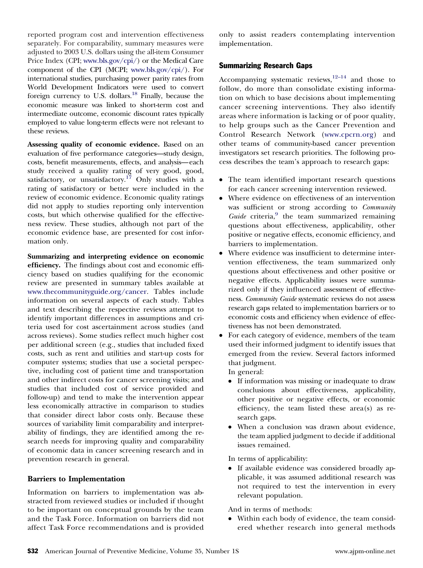reported program cost and intervention effectiveness separately. For comparability, summary measures were adjusted to 2003 U.S. dollars using the all-item Consumer Price Index (CPI; [www.bls.gov/cpi/\)](http://www.bls.gov/cpi/) or the Medical Care component of the CPI (MCPI; [www.bls.gov/cpi/\)](http://www.bls.gov/cpi/). For international studies, purchasing power parity rates from World Development Indicators were used to convert foreign currency to U.S. dollars[.18](#page-7-0) Finally, because the economic measure was linked to short-term cost and intermediate outcome, economic discount rates typically employed to value long-term effects were not relevant to these reviews.

**Assessing quality of economic evidence.** Based on an evaluation of five performance categories—study design, costs, benefit measurements, effects, and analysis—each study received a quality rating of very good, good, satisfactory, or unsatisfactory.<sup>17</sup> Only studies with a rating of satisfactory or better were included in the review of economic evidence. Economic quality ratings did not apply to studies reporting only intervention costs, but which otherwise qualified for the effectiveness review. These studies, although not part of the economic evidence base, are presented for cost information only.

**Summarizing and interpreting evidence on economic efficiency.** The findings about cost and economic efficiency based on studies qualifying for the economic review are presented in summary tables available at [www.thecommunityguide.org/cancer.](http://www.thecommunityguide.org/cancer) Tables include information on several aspects of each study. Tables and text describing the respective reviews attempt to identify important differences in assumptions and criteria used for cost ascertainment across studies (and across reviews). Some studies reflect much higher cost per additional screen (e.g., studies that included fixed costs, such as rent and utilities and start-up costs for computer systems; studies that use a societal perspective, including cost of patient time and transportation and other indirect costs for cancer screening visits; and studies that included cost of service provided and follow-up) and tend to make the intervention appear less economically attractive in comparison to studies that consider direct labor costs only. Because these sources of variability limit comparability and interpretability of findings, they are identified among the research needs for improving quality and comparability of economic data in cancer screening research and in prevention research in general.

## **Barriers to Implementation**

Information on barriers to implementation was abstracted from reviewed studies or included if thought to be important on conceptual grounds by the team and the Task Force. Information on barriers did not affect Task Force recommendations and is provided only to assist readers contemplating intervention implementation.

## Summarizing Research Gaps

Accompanying systematic reviews,<sup>12-14</sup> and those to follow, do more than consolidate existing information on which to base decisions about implementing cancer screening interventions. They also identify areas where information is lacking or of poor quality, to help groups such as the Cancer Prevention and Control Research Network [\(www.cpcrn.org\)](http://www.cpcrn.org) and other teams of community-based cancer prevention investigators set research priorities. The following process describes the team's approach to research gaps:

- The team identified important research questions for each cancer screening intervention reviewed.
- ● Where evidence on effectiveness of an intervention was sufficient or strong according to *Community*  $Guide$  criteria, $<sup>9</sup>$  the team summarized remaining</sup> questions about effectiveness, applicability, other positive or negative effects, economic efficiency, and barriers to implementation.
- ● Where evidence was insufficient to determine intervention effectiveness, the team summarized only questions about effectiveness and other positive or negative effects. Applicability issues were summarized only if they influenced assessment of effectiveness. *Community Guide* systematic reviews do not assess research gaps related to implementation barriers or to economic costs and efficiency when evidence of effectiveness has not been demonstrated.
- ● For each category of evidence, members of the team used their informed judgment to identify issues that emerged from the review. Several factors informed that judgment.

In general:

- ● If information was missing or inadequate to draw conclusions about effectiveness, applicability, other positive or negative effects, or economic efficiency, the team listed these area(s) as research gaps.
- When a conclusion was drawn about evidence, the team applied judgment to decide if additional issues remained.

In terms of applicability:

If available evidence was considered broadly applicable, it was assumed additional research was not required to test the intervention in every relevant population.

And in terms of methods:

● Within each body of evidence, the team considered whether research into general methods